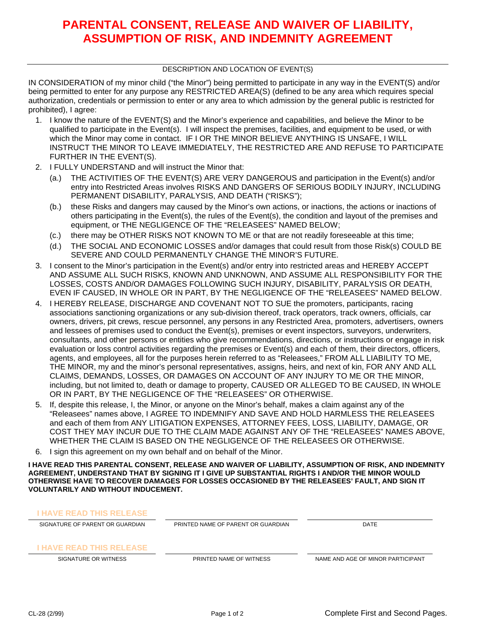## **PARENTAL CONSENT, RELEASE AND WAIVER OF LIABILITY, ASSUMPTION OF RISK, AND INDEMNITY AGREEMENT**

#### DESCRIPTION AND LOCATION OF EVENT(S)

IN CONSIDERATION of my minor child ("the Minor") being permitted to participate in any way in the EVENT(S) and/or being permitted to enter for any purpose any RESTRICTED AREA(S) (defined to be any area which requires special authorization, credentials or permission to enter or any area to which admission by the general public is restricted for prohibited), I agree:

- 1. I know the nature of the EVENT(S) and the Minor's experience and capabilities, and believe the Minor to be qualified to participate in the Event(s). I will inspect the premises, facilities, and equipment to be used, or with which the Minor may come in contact. IF I OR THE MINOR BELIEVE ANYTHING IS UNSAFE, I WILL INSTRUCT THE MINOR TO LEAVE IMMEDIATELY, THE RESTRICTED ARE AND REFUSE TO PARTICIPATE FURTHER IN THE EVENT(S).
- 2. I FULLY UNDERSTAND and will instruct the Minor that:
	- (a.) THE ACTIVITIES OF THE EVENT(S) ARE VERY DANGEROUS and participation in the Event(s) and/or entry into Restricted Areas involves RISKS AND DANGERS OF SERIOUS BODILY INJURY, INCLUDING PERMANENT DISABILITY, PARALYSIS, AND DEATH ("RISKS");
	- (b.) these Risks and dangers may caused by the Minor's own actions, or inactions, the actions or inactions of others participating in the Event(s), the rules of the Event(s), the condition and layout of the premises and equipment, or THE NEGLIGENCE OF THE "RELEASEES" NAMED BELOW;
	- (c.) there may be OTHER RISKS NOT KNOWN TO ME or that are not readily foreseeable at this time;
	- (d.) THE SOCIAL AND ECONOMIC LOSSES and/or damages that could result from those Risk(s) COULD BE SEVERE AND COULD PERMANENTLY CHANGE THE MINOR'S FUTURE.
- 3. I consent to the Minor's participation in the Event(s) and/or entry into restricted areas and HEREBY ACCEPT AND ASSUME ALL SUCH RISKS, KNOWN AND UNKNOWN, AND ASSUME ALL RESPONSIBILITY FOR THE LOSSES, COSTS AND/OR DAMAGES FOLLOWING SUCH INJURY, DISABILITY, PARALYSIS OR DEATH, EVEN IF CAUSED, IN WHOLE OR IN PART, BY THE NEGLIGENCE OF THE "RELEASEES" NAMED BELOW.
- 4. I HEREBY RELEASE, DISCHARGE AND COVENANT NOT TO SUE the promoters, participants, racing associations sanctioning organizations or any sub-division thereof, track operators, track owners, officials, car owners, drivers, pit crews, rescue personnel, any persons in any Restricted Area, promoters, advertisers, owners and lessees of premises used to conduct the Event(s), premises or event inspectors, surveyors, underwriters, consultants, and other persons or entities who give recommendations, directions, or instructions or engage in risk evaluation or loss control activities regarding the premises or Event(s) and each of them, their directors, officers, agents, and employees, all for the purposes herein referred to as "Releasees," FROM ALL LIABILITY TO ME, THE MINOR, my and the minor's personal representatives, assigns, heirs, and next of kin, FOR ANY AND ALL CLAIMS, DEMANDS, LOSSES, OR DAMAGES ON ACCOUNT OF ANY INJURY TO ME OR THE MINOR, including, but not limited to, death or damage to property, CAUSED OR ALLEGED TO BE CAUSED, IN WHOLE OR IN PART, BY THE NEGLIGENCE OF THE "RELEASEES" OR OTHERWISE.
- 5. If, despite this release, I, the Minor, or anyone on the Minor's behalf, makes a claim against any of the "Releasees" names above, I AGREE TO INDEMNIFY AND SAVE AND HOLD HARMLESS THE RELEASEES and each of them from ANY LITIGATION EXPENSES, ATTORNEY FEES, LOSS, LIABILITY, DAMAGE, OR COST THEY MAY INCUR DUE TO THE CLAIM MADE AGAINST ANY OF THE "RELEASEES" NAMES ABOVE, WHETHER THE CLAIM IS BASED ON THE NEGLIGENCE OF THE RELEASEES OR OTHERWISE.
- 6. I sign this agreement on my own behalf and on behalf of the Minor.

**I HAVE READ THIS PARENTAL CONSENT, RELEASE AND WAIVER OF LIABILITY, ASSUMPTION OF RISK, AND INDEMNITY AGREEMENT, UNDERSTAND THAT BY SIGNING IT I GIVE UP SUBSTANTIAL RIGHTS I AND/OR THE MINOR WOULD OTHERWISE HAVE TO RECOVER DAMAGES FOR LOSSES OCCASIONED BY THE RELEASEES' FAULT, AND SIGN IT VOLUNTARILY AND WITHOUT INDUCEMENT.**

| <b>I HAVE READ THIS RELEASE</b> |                                    |                                   |
|---------------------------------|------------------------------------|-----------------------------------|
| SIGNATURE OF PARENT OR GUARDIAN | PRINTED NAME OF PARENT OR GUARDIAN | <b>DATE</b>                       |
| <b>I HAVE READ THIS RELEASE</b> |                                    |                                   |
| SIGNATURE OR WITNESS            | PRINTED NAME OF WITNESS            | NAME AND AGE OF MINOR PARTICIPANT |
|                                 |                                    |                                   |